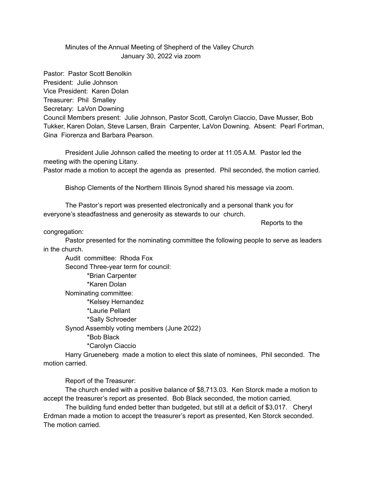## Minutes of the Annual Meeting of Shepherd of the Valley Church January 30, 2022 via zoom

Pastor: Pastor Scott Benolkin President: Julie Johnson Vice President: Karen Dolan Treasurer: Phil Smalley Secretary: LaVon Downing Council Members present: Julie Johnson, Pastor Scott, Carolyn Ciaccio, Dave Musser, Bob Tukker, Karen Dolan, Steve Larsen, Brain Carpenter, LaVon Downing. Absent: Pearl Fortman, Gina Fiorenza and Barbara Pearson.

President Julie Johnson called the meeting to order at 11:05 A.M. Pastor led the meeting with the opening Litany.

Pastor made a motion to accept the agenda as presented. Phil seconded, the motion carried.

Bishop Clements of the Northern Illinois Synod shared his message via zoom.

The Pastor's report was presented electronically and a personal thank you for everyone's steadfastness and generosity as stewards to our church.

Reports to the

congregation:

Pastor presented for the nominating committee the following people to serve as leaders in the church.

Audit committee: Rhoda Fox Second Three-year term for council: \*Brian Carpenter \*Karen Dolan Nominating committee: \*Kelsey Hernandez \*Laurie Pellant \*Sally Schroeder Synod Assembly voting members (June 2022) \*Bob Black \*Carolyn Ciaccio

Harry Grueneberg made a motion to elect this slate of nominees, Phil seconded. The motion carried.

Report of the Treasurer:

The church ended with a positive balance of \$8,713.03. Ken Storck made a motion to accept the treasurer's report as presented. Bob Black seconded, the motion carried.

The building fund ended better than budgeted, but still at a deficit of \$3,017. Cheryl Erdman made a motion to accept the treasurer's report as presented, Ken Storck seconded. The motion carried.